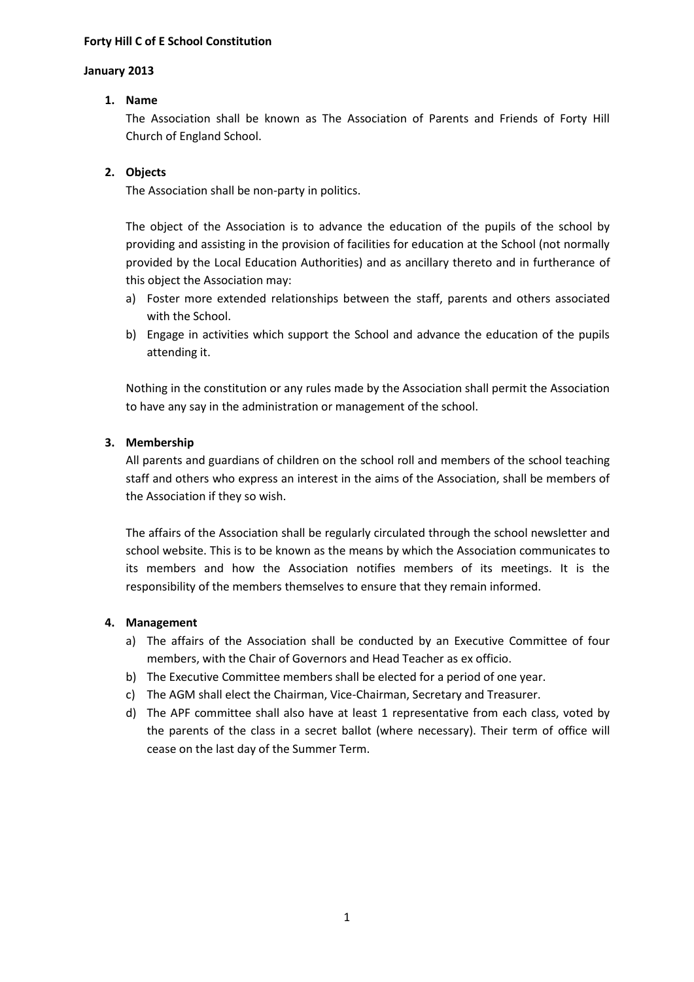### **Forty Hill C of E School Constitution**

### **January 2013**

# **1. Name**

The Association shall be known as The Association of Parents and Friends of Forty Hill Church of England School.

# **2. Objects**

The Association shall be non-party in politics.

The object of the Association is to advance the education of the pupils of the school by providing and assisting in the provision of facilities for education at the School (not normally provided by the Local Education Authorities) and as ancillary thereto and in furtherance of this object the Association may:

- a) Foster more extended relationships between the staff, parents and others associated with the School.
- b) Engage in activities which support the School and advance the education of the pupils attending it.

Nothing in the constitution or any rules made by the Association shall permit the Association to have any say in the administration or management of the school.

# **3. Membership**

All parents and guardians of children on the school roll and members of the school teaching staff and others who express an interest in the aims of the Association, shall be members of the Association if they so wish.

The affairs of the Association shall be regularly circulated through the school newsletter and school website. This is to be known as the means by which the Association communicates to its members and how the Association notifies members of its meetings. It is the responsibility of the members themselves to ensure that they remain informed.

# **4. Management**

- a) The affairs of the Association shall be conducted by an Executive Committee of four members, with the Chair of Governors and Head Teacher as ex officio.
- b) The Executive Committee members shall be elected for a period of one year.
- c) The AGM shall elect the Chairman, Vice-Chairman, Secretary and Treasurer.
- d) The APF committee shall also have at least 1 representative from each class, voted by the parents of the class in a secret ballot (where necessary). Their term of office will cease on the last day of the Summer Term.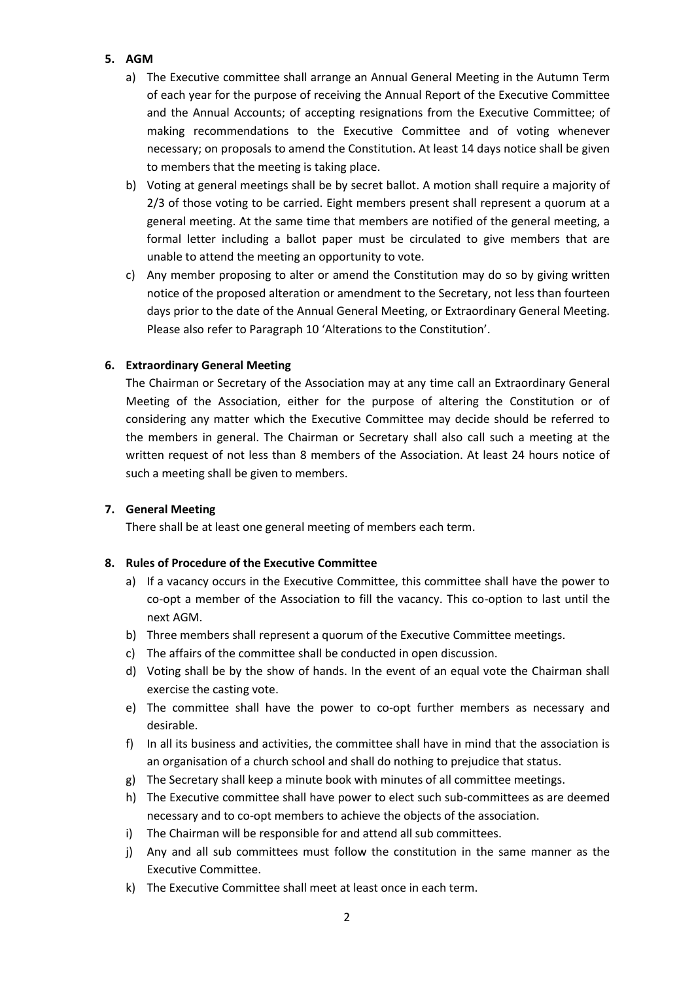# **5. AGM**

- a) The Executive committee shall arrange an Annual General Meeting in the Autumn Term of each year for the purpose of receiving the Annual Report of the Executive Committee and the Annual Accounts; of accepting resignations from the Executive Committee; of making recommendations to the Executive Committee and of voting whenever necessary; on proposals to amend the Constitution. At least 14 days notice shall be given to members that the meeting is taking place.
- b) Voting at general meetings shall be by secret ballot. A motion shall require a majority of 2/3 of those voting to be carried. Eight members present shall represent a quorum at a general meeting. At the same time that members are notified of the general meeting, a formal letter including a ballot paper must be circulated to give members that are unable to attend the meeting an opportunity to vote.
- c) Any member proposing to alter or amend the Constitution may do so by giving written notice of the proposed alteration or amendment to the Secretary, not less than fourteen days prior to the date of the Annual General Meeting, or Extraordinary General Meeting. Please also refer to Paragraph 10 'Alterations to the Constitution'.

## **6. Extraordinary General Meeting**

The Chairman or Secretary of the Association may at any time call an Extraordinary General Meeting of the Association, either for the purpose of altering the Constitution or of considering any matter which the Executive Committee may decide should be referred to the members in general. The Chairman or Secretary shall also call such a meeting at the written request of not less than 8 members of the Association. At least 24 hours notice of such a meeting shall be given to members.

### **7. General Meeting**

There shall be at least one general meeting of members each term.

### **8. Rules of Procedure of the Executive Committee**

- a) If a vacancy occurs in the Executive Committee, this committee shall have the power to co-opt a member of the Association to fill the vacancy. This co-option to last until the next AGM.
- b) Three members shall represent a quorum of the Executive Committee meetings.
- c) The affairs of the committee shall be conducted in open discussion.
- d) Voting shall be by the show of hands. In the event of an equal vote the Chairman shall exercise the casting vote.
- e) The committee shall have the power to co-opt further members as necessary and desirable.
- f) In all its business and activities, the committee shall have in mind that the association is an organisation of a church school and shall do nothing to prejudice that status.
- g) The Secretary shall keep a minute book with minutes of all committee meetings.
- h) The Executive committee shall have power to elect such sub-committees as are deemed necessary and to co-opt members to achieve the objects of the association.
- i) The Chairman will be responsible for and attend all sub committees.
- j) Any and all sub committees must follow the constitution in the same manner as the Executive Committee.
- k) The Executive Committee shall meet at least once in each term.